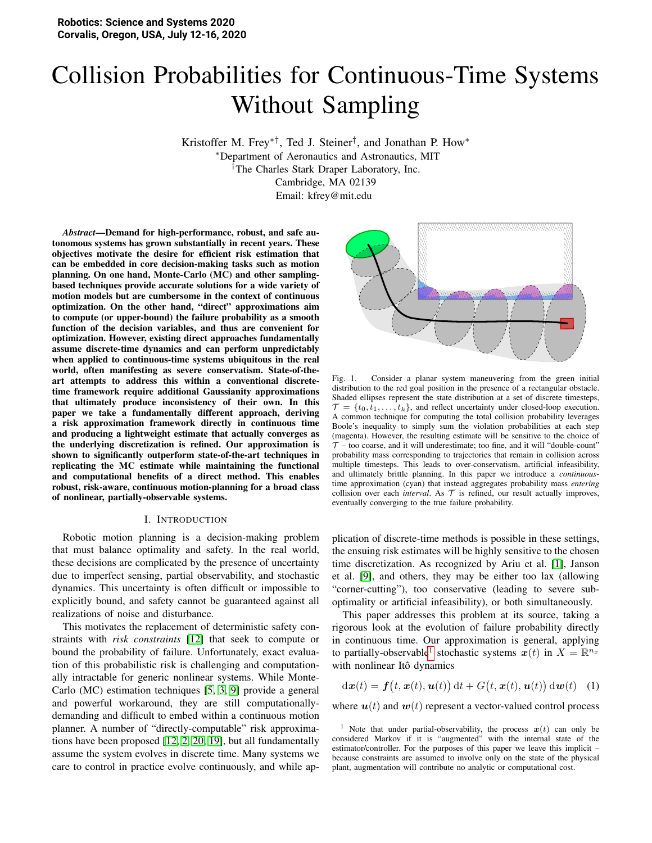# Collision Probabilities for Continuous-Time Systems Without Sampling

Kristoffer M. Frey∗†, Ted J. Steiner† , and Jonathan P. How<sup>∗</sup> <sup>∗</sup>Department of Aeronautics and Astronautics, MIT †The Charles Stark Draper Laboratory, Inc. Cambridge, MA 02139

Email: kfrey@mit.edu

*Abstract*—Demand for high-performance, robust, and safe autonomous systems has grown substantially in recent years. These objectives motivate the desire for efficient risk estimation that can be embedded in core decision-making tasks such as motion planning. On one hand, Monte-Carlo (MC) and other samplingbased techniques provide accurate solutions for a wide variety of motion models but are cumbersome in the context of continuous optimization. On the other hand, "direct" approximations aim to compute (or upper-bound) the failure probability as a smooth function of the decision variables, and thus are convenient for optimization. However, existing direct approaches fundamentally assume discrete-time dynamics and can perform unpredictably when applied to continuous-time systems ubiquitous in the real world, often manifesting as severe conservatism. State-of-theart attempts to address this within a conventional discretetime framework require additional Gaussianity approximations that ultimately produce inconsistency of their own. In this paper we take a fundamentally different approach, deriving a risk approximation framework directly in continuous time and producing a lightweight estimate that actually converges as the underlying discretization is refined. Our approximation is shown to significantly outperform state-of-the-art techniques in replicating the MC estimate while maintaining the functional and computational benefits of a direct method. This enables robust, risk-aware, continuous motion-planning for a broad class of nonlinear, partially-observable systems.

#### I. INTRODUCTION

Robotic motion planning is a decision-making problem that must balance optimality and safety. In the real world, these decisions are complicated by the presence of uncertainty due to imperfect sensing, partial observability, and stochastic dynamics. This uncertainty is often difficult or impossible to explicitly bound, and safety cannot be guaranteed against all realizations of noise and disturbance.

This motivates the replacement of deterministic safety constraints with *risk constraints* [\[12\]](#page-8-0) that seek to compute or bound the probability of failure. Unfortunately, exact evaluation of this probabilistic risk is challenging and computationally intractable for generic nonlinear systems. While Monte-Carlo (MC) estimation techniques [\[5,](#page-8-1) [3,](#page-8-2) [9\]](#page-8-3) provide a general and powerful workaround, they are still computationallydemanding and difficult to embed within a continuous motion planner. A number of "directly-computable" risk approximations have been proposed [\[12,](#page-8-0) [2,](#page-8-4) [20,](#page-8-5) [19\]](#page-8-6), but all fundamentally assume the system evolves in discrete time. Many systems we care to control in practice evolve continuously, and while ap-



<span id="page-0-2"></span>Fig. 1. Consider a planar system maneuvering from the green initial distribution to the red goal position in the presence of a rectangular obstacle. Shaded ellipses represent the state distribution at a set of discrete timesteps,  $\mathcal{T} = \{t_0, t_1, \ldots, t_k\}$ , and reflect uncertainty under closed-loop execution. A common technique for computing the total collision probability leverages Boole's inequality to simply sum the violation probabilities at each step (magenta). However, the resulting estimate will be sensitive to the choice of  $T$  – too coarse, and it will underestimate; too fine, and it will "double-count" probability mass corresponding to trajectories that remain in collision across multiple timesteps. This leads to over-conservatism, artificial infeasibility, and ultimately brittle planning. In this paper we introduce a *continuous*time approximation (cyan) that instead aggregates probability mass *entering* collision over each *interval*. As  $T$  is refined, our result actually improves, eventually converging to the true failure probability.

plication of discrete-time methods is possible in these settings, the ensuing risk estimates will be highly sensitive to the chosen time discretization. As recognized by Ariu et al. [\[1\]](#page-8-7), Janson et al. [\[9\]](#page-8-3), and others, they may be either too lax (allowing "corner-cutting"), too conservative (leading to severe suboptimality or artificial infeasibility), or both simultaneously.

This paper addresses this problem at its source, taking a rigorous look at the evolution of failure probability directly in continuous time. Our approximation is general, applying to partially-observable<sup>[1](#page-0-0)</sup> stochastic systems  $x(t)$  in  $X = \mathbb{R}^{n_x}$ with nonlinear Itô dynamics

<span id="page-0-1"></span>
$$
\mathrm{d}\boldsymbol{x}(t) = \boldsymbol{f}(t, \boldsymbol{x}(t), \boldsymbol{u}(t)) \, \mathrm{d}t + G(t, \boldsymbol{x}(t), \boldsymbol{u}(t)) \, \mathrm{d}\boldsymbol{w}(t) \tag{1}
$$

where  $u(t)$  and  $w(t)$  represent a vector-valued control process

<span id="page-0-0"></span><sup>&</sup>lt;sup>1</sup> Note that under partial-observability, the process  $x(t)$  can only be considered Markov if it is "augmented" with the internal state of the estimator/controller. For the purposes of this paper we leave this implicit – because constraints are assumed to involve only on the state of the physical plant, augmentation will contribute no analytic or computational cost.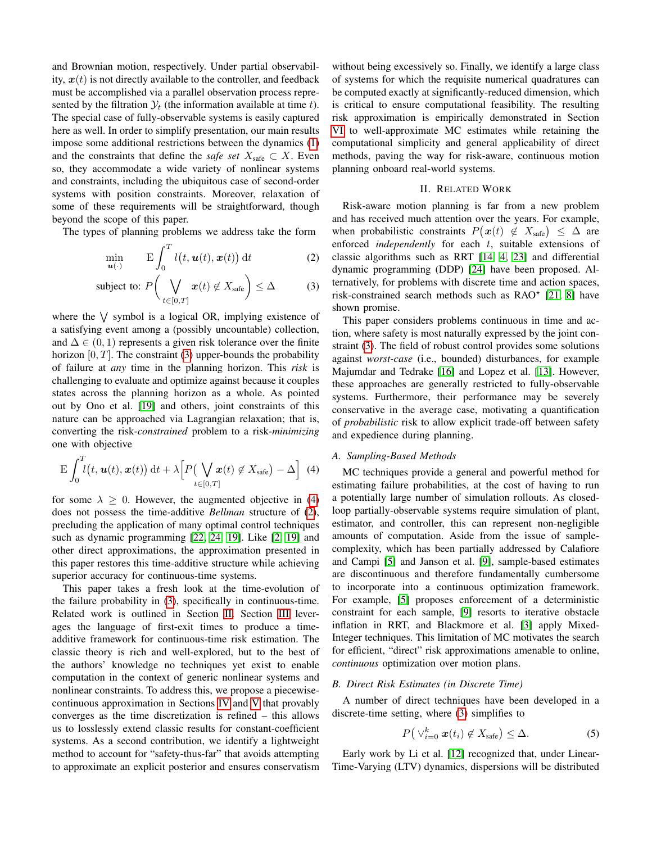and Brownian motion, respectively. Under partial observability,  $x(t)$  is not directly available to the controller, and feedback must be accomplished via a parallel observation process represented by the filtration  $\mathcal{Y}_t$  (the information available at time t). The special case of fully-observable systems is easily captured here as well. In order to simplify presentation, our main results impose some additional restrictions between the dynamics [\(1\)](#page-0-1) and the constraints that define the *safe set*  $X_{\text{safe}} \subset X$ . Even so, they accommodate a wide variety of nonlinear systems and constraints, including the ubiquitous case of second-order systems with position constraints. Moreover, relaxation of some of these requirements will be straightforward, though beyond the scope of this paper.

The types of planning problems we address take the form

$$
\min_{\mathbf{u}(\cdot)} \qquad \mathbf{E} \int_0^T l(t, \mathbf{u}(t), \mathbf{x}(t)) \, \mathrm{d}t \tag{2}
$$

subject to: 
$$
P\left(\bigvee_{t \in [0,T]} x(t) \notin X_{\text{safe}}\right) \leq \Delta
$$
 (3)

where the  $\vee$  symbol is a logical OR, implying existence of a satisfying event among a (possibly uncountable) collection, and  $\Delta \in (0, 1)$  represents a given risk tolerance over the finite horizon  $[0, T]$ . The constraint [\(3\)](#page-1-0) upper-bounds the probability of failure at *any* time in the planning horizon. This *risk* is challenging to evaluate and optimize against because it couples states across the planning horizon as a whole. As pointed out by Ono et al. [\[19\]](#page-8-6) and others, joint constraints of this nature can be approached via Lagrangian relaxation; that is, converting the risk-*constrained* problem to a risk-*minimizing* one with objective

<span id="page-1-1"></span>
$$
\mathbf{E}\int_0^T l\big(t,\mathbf{u}(t),\mathbf{x}(t)\big) \, \mathrm{d}t + \lambda \Big[P\big(\bigvee_{t \in [0,T]} \mathbf{x}(t) \not\in X_{\text{safe}}\big) - \Delta\Big] \tag{4}
$$

for some  $\lambda > 0$ . However, the augmented objective in [\(4\)](#page-1-1) does not possess the time-additive *Bellman* structure of [\(2\)](#page-1-2), precluding the application of many optimal control techniques such as dynamic programming [\[22,](#page-8-8) [24,](#page-8-9) [19\]](#page-8-6). Like [\[2,](#page-8-4) [19\]](#page-8-6) and other direct approximations, the approximation presented in this paper restores this time-additive structure while achieving superior accuracy for continuous-time systems.

This paper takes a fresh look at the time-evolution of the failure probability in [\(3\)](#page-1-0), specifically in continuous-time. Related work is outlined in Section [II.](#page-1-3) Section [III](#page-2-0) leverages the language of first-exit times to produce a timeadditive framework for continuous-time risk estimation. The classic theory is rich and well-explored, but to the best of the authors' knowledge no techniques yet exist to enable computation in the context of generic nonlinear systems and nonlinear constraints. To address this, we propose a piecewisecontinuous approximation in Sections [IV](#page-4-0) and [V](#page-5-0) that provably converges as the time discretization is refined – this allows us to losslessly extend classic results for constant-coefficient systems. As a second contribution, we identify a lightweight method to account for "safety-thus-far" that avoids attempting to approximate an explicit posterior and ensures conservatism

without being excessively so. Finally, we identify a large class of systems for which the requisite numerical quadratures can be computed exactly at significantly-reduced dimension, which is critical to ensure computational feasibility. The resulting risk approximation is empirically demonstrated in Section [VI](#page-6-0) to well-approximate MC estimates while retaining the computational simplicity and general applicability of direct methods, paving the way for risk-aware, continuous motion planning onboard real-world systems.

## II. RELATED WORK

<span id="page-1-3"></span><span id="page-1-2"></span>Risk-aware motion planning is far from a new problem and has received much attention over the years. For example, when probabilistic constraints  $P(x(t) \notin X_{\text{safe}}) \leq \Delta$  are enforced *independently* for each t, suitable extensions of classic algorithms such as RRT [\[14,](#page-8-10) [4,](#page-8-11) [23\]](#page-8-12) and differential dynamic programming (DDP) [\[24\]](#page-8-9) have been proposed. Alternatively, for problems with discrete time and action spaces, risk-constrained search methods such as  $RAO<sup>*</sup>$  [\[21,](#page-8-13) [8\]](#page-8-14) have shown promise.

<span id="page-1-0"></span>This paper considers problems continuous in time and action, where safety is most naturally expressed by the joint constraint [\(3\)](#page-1-0). The field of robust control provides some solutions against *worst-case* (i.e., bounded) disturbances, for example Majumdar and Tedrake [\[16\]](#page-8-15) and Lopez et al. [\[13\]](#page-8-16). However, these approaches are generally restricted to fully-observable systems. Furthermore, their performance may be severely conservative in the average case, motivating a quantification of *probabilistic* risk to allow explicit trade-off between safety and expedience during planning.

## *A. Sampling-Based Methods*

MC techniques provide a general and powerful method for estimating failure probabilities, at the cost of having to run a potentially large number of simulation rollouts. As closedloop partially-observable systems require simulation of plant, estimator, and controller, this can represent non-negligible amounts of computation. Aside from the issue of samplecomplexity, which has been partially addressed by Calafiore and Campi [\[5\]](#page-8-1) and Janson et al. [\[9\]](#page-8-3), sample-based estimates are discontinuous and therefore fundamentally cumbersome to incorporate into a continuous optimization framework. For example, [\[5\]](#page-8-1) proposes enforcement of a deterministic constraint for each sample, [\[9\]](#page-8-3) resorts to iterative obstacle inflation in RRT, and Blackmore et al. [\[3\]](#page-8-2) apply Mixed-Integer techniques. This limitation of MC motivates the search for efficient, "direct" risk approximations amenable to online, *continuous* optimization over motion plans.

## *B. Direct Risk Estimates (in Discrete Time)*

A number of direct techniques have been developed in a discrete-time setting, where [\(3\)](#page-1-0) simplifies to

<span id="page-1-4"></span>
$$
P\left(\vee_{i=0}^{k} \boldsymbol{x}(t_i) \notin X_{\text{safe}}\right) \leq \Delta. \tag{5}
$$

Early work by Li et al. [\[12\]](#page-8-0) recognized that, under Linear-Time-Varying (LTV) dynamics, dispersions will be distributed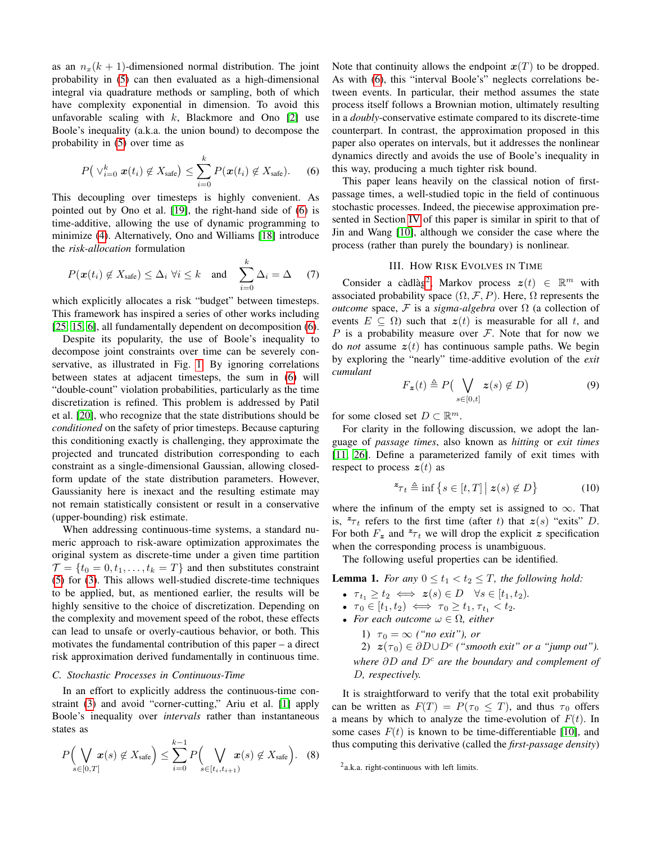as an  $n_x(k + 1)$ -dimensioned normal distribution. The joint probability in [\(5\)](#page-1-4) can then evaluated as a high-dimensional integral via quadrature methods or sampling, both of which have complexity exponential in dimension. To avoid this unfavorable scaling with  $k$ , Blackmore and Ono [\[2\]](#page-8-4) use Boole's inequality (a.k.a. the union bound) to decompose the probability in [\(5\)](#page-1-4) over time as

<span id="page-2-1"></span>
$$
P\big(\vee_{i=0}^{k} \boldsymbol{x}(t_i) \notin X_{\text{safe}}\big) \leq \sum_{i=0}^{k} P(\boldsymbol{x}(t_i) \notin X_{\text{safe}}). \qquad (6)
$$

This decoupling over timesteps is highly convenient. As pointed out by Ono et al. [\[19\]](#page-8-6), the right-hand side of [\(6\)](#page-2-1) is time-additive, allowing the use of dynamic programming to minimize [\(4\)](#page-1-1). Alternatively, Ono and Williams [\[18\]](#page-8-17) introduce the *risk-allocation* formulation

$$
P(\boldsymbol{x}(t_i) \notin X_{\text{safe}}) \leq \Delta_i \ \forall i \leq k \quad \text{and} \quad \sum_{i=0}^k \Delta_i = \Delta \quad (7)
$$

which explicitly allocates a risk "budget" between timesteps. This framework has inspired a series of other works including [\[25,](#page-8-18) [15,](#page-8-19) [6\]](#page-8-20), all fundamentally dependent on decomposition [\(6\)](#page-2-1).

Despite its popularity, the use of Boole's inequality to decompose joint constraints over time can be severely conservative, as illustrated in Fig. [1.](#page-0-2) By ignoring correlations between states at adjacent timesteps, the sum in [\(6\)](#page-2-1) will "double-count" violation probabilities, particularly as the time discretization is refined. This problem is addressed by Patil et al. [\[20\]](#page-8-5), who recognize that the state distributions should be *conditioned* on the safety of prior timesteps. Because capturing this conditioning exactly is challenging, they approximate the projected and truncated distribution corresponding to each constraint as a single-dimensional Gaussian, allowing closedform update of the state distribution parameters. However, Gaussianity here is inexact and the resulting estimate may not remain statistically consistent or result in a conservative (upper-bounding) risk estimate.

When addressing continuous-time systems, a standard numeric approach to risk-aware optimization approximates the original system as discrete-time under a given time partition  $\mathcal{T} = \{t_0 = 0, t_1, \ldots, t_k = T\}$  and then substitutes constraint [\(5\)](#page-1-4) for [\(3\)](#page-1-0). This allows well-studied discrete-time techniques to be applied, but, as mentioned earlier, the results will be highly sensitive to the choice of discretization. Depending on the complexity and movement speed of the robot, these effects can lead to unsafe or overly-cautious behavior, or both. This motivates the fundamental contribution of this paper – a direct risk approximation derived fundamentally in continuous time.

# *C. Stochastic Processes in Continuous-Time*

In an effort to explicitly address the continuous-time constraint [\(3\)](#page-1-0) and avoid "corner-cutting," Ariu et al. [\[1\]](#page-8-7) apply Boole's inequality over *intervals* rather than instantaneous states as

<span id="page-2-3"></span>
$$
P\Big(\bigvee_{s\in[0,T]} \boldsymbol{x}(s) \notin X_{\text{safe}}\Big) \leq \sum_{i=0}^{k-1} P\Big(\bigvee_{s\in[t_i,t_{i+1})} \boldsymbol{x}(s) \notin X_{\text{safe}}\Big). \quad (8)
$$

Note that continuity allows the endpoint  $x(T)$  to be dropped. As with [\(6\)](#page-2-1), this "interval Boole's" neglects correlations between events. In particular, their method assumes the state process itself follows a Brownian motion, ultimately resulting in a *doubly*-conservative estimate compared to its discrete-time counterpart. In contrast, the approximation proposed in this paper also operates on intervals, but it addresses the nonlinear dynamics directly and avoids the use of Boole's inequality in this way, producing a much tighter risk bound.

This paper leans heavily on the classical notion of firstpassage times, a well-studied topic in the field of continuous stochastic processes. Indeed, the piecewise approximation presented in Section [IV](#page-4-0) of this paper is similar in spirit to that of Jin and Wang [\[10\]](#page-8-21), although we consider the case where the process (rather than purely the boundary) is nonlinear.

## III. HOW RISK EVOLVES IN TIME

<span id="page-2-0"></span>Consider a càdlàg<sup>[2](#page-2-2)</sup>, Markov process  $z(t) \in \mathbb{R}^m$  with associated probability space  $(\Omega, \mathcal{F}, P)$ . Here,  $\Omega$  represents the *outcome* space, F is a *sigma-algebra* over  $\Omega$  (a collection of events  $E \subseteq \Omega$ ) such that  $z(t)$  is measurable for all t, and P is a probability measure over  $\mathcal F$ . Note that for now we do *not* assume  $z(t)$  has continuous sample paths. We begin by exploring the "nearly" time-additive evolution of the *exit cumulant*

$$
F_{\mathbf{z}}(t) \triangleq P\left(\bigvee_{s \in [0,t]} \mathbf{z}(s) \notin D\right) \tag{9}
$$

for some closed set  $D \subset \mathbb{R}^m$ .

For clarity in the following discussion, we adopt the language of *passage times*, also known as *hitting* or *exit times* [\[11,](#page-8-22) [26\]](#page-8-23). Define a parameterized family of exit times with respect to process  $z(t)$  as

$$
\mathbf{z}_{\mathcal{T}_t} \triangleq \inf \left\{ s \in [t, T] \, \middle| \, \mathbf{z}(s) \notin D \right\} \tag{10}
$$

where the infinum of the empty set is assigned to  $\infty$ . That is,  $z_{\tau_t}$  refers to the first time (after t) that  $z(s)$  "exits" D. For both  $F_z$  and  $z_{\tau}$  we will drop the explicit z specification when the corresponding process is unambiguous.

The following useful properties can be identified.

<span id="page-2-4"></span>**Lemma 1.** For any  $0 \le t_1 < t_2 \le T$ , the following hold:

- $\tau_{t_1} \geq t_2 \iff z(s) \in D \quad \forall s \in [t_1, t_2)$ *.*
- $\tau_0 \in [t_1, t_2) \iff \tau_0 \geq t_1, \tau_{t_1} < t_2.$
- *For each outcome*  $\omega \in \Omega$ *, either* 
	- 1)  $\tau_0 = \infty$  *("no exit"), or*

2)  $z(\tau_0) \in \partial D \cup D^c$  ("smooth exit" or a "jump out"). *where* ∂D and D<sup>c</sup> are the boundary and complement of D*, respectively.*

It is straightforward to verify that the total exit probability can be written as  $F(T) = P(\tau_0 \leq T)$ , and thus  $\tau_0$  offers a means by which to analyze the time-evolution of  $F(t)$ . In some cases  $F(t)$  is known to be time-differentiable [\[10\]](#page-8-21), and thus computing this derivative (called the *first-passage density*)

<span id="page-2-2"></span><sup>&</sup>lt;sup>2</sup>a.k.a. right-continuous with left limits.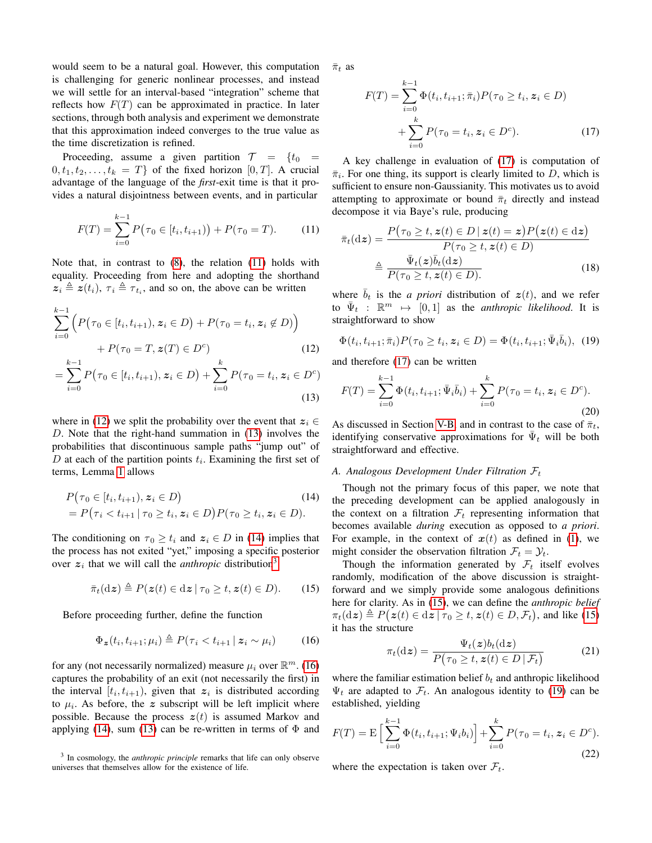would seem to be a natural goal. However, this computation is challenging for generic nonlinear processes, and instead we will settle for an interval-based "integration" scheme that reflects how  $F(T)$  can be approximated in practice. In later sections, through both analysis and experiment we demonstrate that this approximation indeed converges to the true value as the time discretization is refined.

Proceeding, assume a given partition  $\mathcal{T} = \{t_0 =$  $0, t_1, t_2, \ldots, t_k = T\}$  of the fixed horizon  $[0, T]$ . A crucial advantage of the language of the *first*-exit time is that it provides a natural disjointness between events, and in particular

$$
F(T) = \sum_{i=0}^{k-1} P(\tau_0 \in [t_i, t_{i+1}) + P(\tau_0 = T). \tag{11}
$$

Note that, in contrast to [\(8\)](#page-2-3), the relation [\(11\)](#page-3-0) holds with equality. Proceeding from here and adopting the shorthand  $z_i \triangleq z(t_i)$ ,  $\tau_i \triangleq \tau_{t_i}$ , and so on, the above can be written

$$
\sum_{i=0}^{k-1} \left( P(\tau_0 \in [t_i, t_{i+1}), z_i \in D) + P(\tau_0 = t_i, z_i \notin D) \right) + P(\tau_0 = T, z(T) \in D^c)
$$
\n(12)

$$
= \sum_{i=0}^{k-1} P(\tau_0 \in [t_i, t_{i+1}), z_i \in D) + \sum_{i=0}^{k} P(\tau_0 = t_i, z_i \in D^c)
$$
\n(13)

where in [\(12\)](#page-3-1) we split the probability over the event that  $z_i \in$ D. Note that the right-hand summation in [\(13\)](#page-3-2) involves the probabilities that discontinuous sample paths "jump out" of D at each of the partition points  $t_i$ . Examining the first set of terms, Lemma [1](#page-2-4) allows

$$
P(\tau_0 \in [t_i, t_{i+1}), \mathbf{z}_i \in D)
$$
  
=  $P(\tau_i < t_{i+1} | \tau_0 \ge t_i, \mathbf{z}_i \in D) P(\tau_0 \ge t_i, \mathbf{z}_i \in D).$  (14)

The conditioning on  $\tau_0 \geq t_i$  and  $z_i \in D$  in [\(14\)](#page-3-3) implies that the process has not exited "yet," imposing a specific posterior over  $z_i$  that we will call the *anthropic* distribution<sup>[3](#page-3-4)</sup>

<span id="page-3-7"></span>
$$
\bar{\pi}_t(\mathrm{d}z)\triangleq P(z(t)\in\mathrm{d}z\,|\,\tau_0\geq t,z(t)\in D). \qquad(15)
$$

Before proceeding further, define the function

<span id="page-3-5"></span>
$$
\Phi_{\boldsymbol{z}}(t_i, t_{i+1}; \mu_i) \triangleq P(\tau_i < t_{i+1} \,|\, \boldsymbol{z}_i \sim \mu_i) \tag{16}
$$

for any (not necessarily normalized) measure  $\mu_i$  over  $\mathbb{R}^m$ . [\(16\)](#page-3-5) captures the probability of an exit (not necessarily the first) in the interval  $[t_i, t_{i+1})$ , given that  $z_i$  is distributed according to  $\mu_i$ . As before, the z subscript will be left implicit where possible. Because the process  $z(t)$  is assumed Markov and applying [\(14\)](#page-3-3), sum [\(13\)](#page-3-2) can be re-written in terms of  $\Phi$  and  $\bar{\pi}_t$  as

<span id="page-3-6"></span>
$$
F(T) = \sum_{i=0}^{k-1} \Phi(t_i, t_{i+1}; \bar{\pi}_i) P(\tau_0 \ge t_i, z_i \in D)
$$
  
+ 
$$
\sum_{i=0}^{k} P(\tau_0 = t_i, z_i \in D^c).
$$
 (17)

A key challenge in evaluation of [\(17\)](#page-3-6) is computation of  $\bar{\pi}_i$ . For one thing, its support is clearly limited to D, which is sufficient to ensure non-Gaussianity. This motivates us to avoid attempting to approximate or bound  $\bar{\pi}_t$  directly and instead decompose it via Baye's rule, producing

<span id="page-3-0"></span>
$$
\bar{\pi}_t(\mathrm{d}z) = \frac{P(\tau_0 \ge t, z(t) \in D \mid z(t) = z) P(z(t) \in \mathrm{d}z)}{P(\tau_0 \ge t, z(t) \in D)}
$$

$$
\triangleq \frac{\bar{\Psi}_t(z)\bar{b}_t(\mathrm{d}z)}{P(\tau_0 \ge t, z(t) \in D)} \tag{18}
$$

where  $\bar{b}_t$  is the *a priori* distribution of  $z(t)$ , and we refer to  $\bar{\Psi}_t$  :  $\mathbb{R}^m \mapsto [0, 1]$  as the *anthropic likelihood*. It is straightforward to show

<span id="page-3-8"></span>
$$
\Phi(t_i, t_{i+1}; \bar{\pi}_i) P(\tau_0 \ge t_i, \mathbf{z}_i \in D) = \Phi(t_i, t_{i+1}; \bar{\Psi}_i \bar{b}_i), \tag{19}
$$

<span id="page-3-1"></span>and therefore [\(17\)](#page-3-6) can be written

<span id="page-3-2"></span>
$$
F(T) = \sum_{i=0}^{k-1} \Phi(t_i, t_{i+1}; \bar{\Psi}_i \bar{b}_i) + \sum_{i=0}^k P(\tau_0 = t_i, z_i \in D^c).
$$
\n(20)

As discussed in Section [V-B,](#page-5-1) and in contrast to the case of  $\bar{\pi}_t$ , identifying conservative approximations for  $\bar{\Psi}_t$  will be both straightforward and effective.

#### *A. Analogous Development Under Filtration* F<sup>t</sup>

<span id="page-3-3"></span>Though not the primary focus of this paper, we note that the preceding development can be applied analogously in the context on a filtration  $\mathcal{F}_t$  representing information that becomes available *during* execution as opposed to *a priori*. For example, in the context of  $x(t)$  as defined in [\(1\)](#page-0-1), we might consider the observation filtration  $\mathcal{F}_t = \mathcal{Y}_t$ .

Though the information generated by  $\mathcal{F}_t$  itself evolves randomly, modification of the above discussion is straightforward and we simply provide some analogous definitions here for clarity. As in [\(15\)](#page-3-7), we can define the *anthropic belief*  $\pi_t(\mathrm{d}z) \triangleq P(z(t) \in \mathrm{d}z \mid \tau_0 \geq t, z(t) \in D, \mathcal{F}_t)$ , and like [\(15\)](#page-3-7) it has the structure

$$
\pi_t(\mathrm{d}\boldsymbol{z}) = \frac{\Psi_t(\boldsymbol{z})b_t(\mathrm{d}\boldsymbol{z})}{P(\tau_0 \ge t, \boldsymbol{z}(t) \in D \,|\, \mathcal{F}_t)}\tag{21}
$$

where the familiar estimation belief  $b_t$  and anthropic likelihood  $\Psi_t$  are adapted to  $\mathcal{F}_t$ . An analogous identity to [\(19\)](#page-3-8) can be established, yielding

<span id="page-3-9"></span>
$$
F(T) = \mathcal{E}\left[\sum_{i=0}^{k-1} \Phi(t_i, t_{i+1}; \Psi_i b_i)\right] + \sum_{i=0}^{k} P(\tau_0 = t_i, z_i \in D^c).
$$
\n(22)

where the expectation is taken over  $\mathcal{F}_t$ .

<span id="page-3-4"></span><sup>3</sup> In cosmology, the *anthropic principle* remarks that life can only observe universes that themselves allow for the existence of life.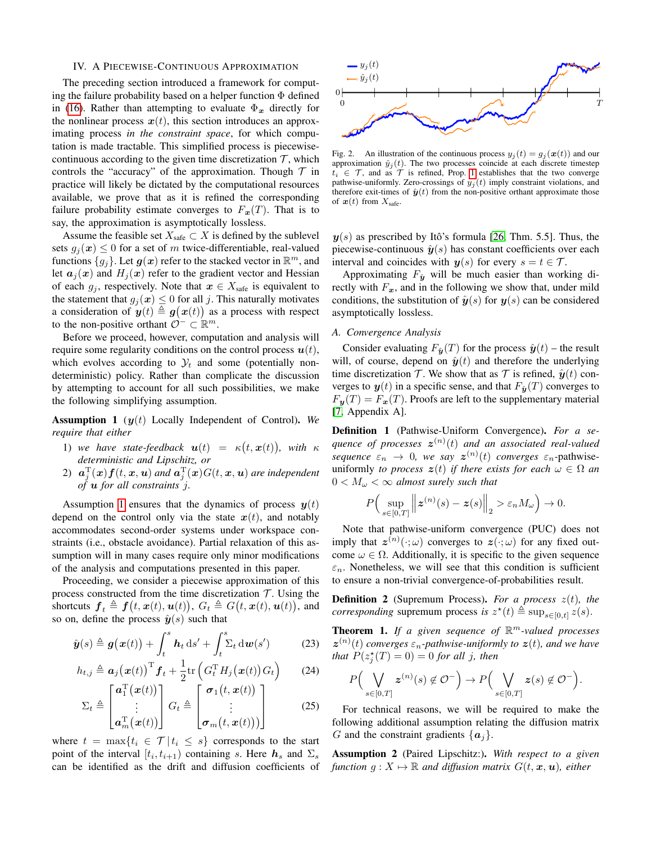#### <span id="page-4-0"></span>IV. A PIECEWISE-CONTINUOUS APPROXIMATION

The preceding section introduced a framework for computing the failure probability based on a helper function Φ defined in [\(16\)](#page-3-5). Rather than attempting to evaluate  $\Phi_x$  directly for the nonlinear process  $x(t)$ , this section introduces an approximating process *in the constraint space*, for which computation is made tractable. This simplified process is piecewisecontinuous according to the given time discretization  $\mathcal{T}$ , which controls the "accuracy" of the approximation. Though  $\mathcal T$  in practice will likely be dictated by the computational resources available, we prove that as it is refined the corresponding failure probability estimate converges to  $F_x(T)$ . That is to say, the approximation is asymptotically lossless.

Assume the feasible set  $X_{\text{safe}} \subset X$  is defined by the sublevel sets  $g_j(x) \leq 0$  for a set of m twice-differentiable, real-valued functions  $\{g_j\}$ . Let  $\bm{g}(\bm{x})$  refer to the stacked vector in  $\mathbb{R}^m$ , and let  $a_j(x)$  and  $H_j(x)$  refer to the gradient vector and Hessian of each  $g_j$ , respectively. Note that  $x \in X_{\text{safe}}$  is equivalent to the statement that  $g_i(x) \leq 0$  for all j. This naturally motivates a consideration of  $y(t) \triangleq g(x(t))$  as a process with respect to the non-positive orthant  $\mathcal{O}^- \subset \mathbb{R}^m$ .

Before we proceed, however, computation and analysis will require some regularity conditions on the control process  $u(t)$ , which evolves according to  $\mathcal{Y}_t$  and some (potentially nondeterministic) policy. Rather than complicate the discussion by attempting to account for all such possibilities, we make the following simplifying assumption.

<span id="page-4-1"></span>Assumption 1 (y(t) Locally Independent of Control). *We require that either*

- 1) we have state-feedback  $\mathbf{u}(t) = \kappa(t, \mathbf{x}(t)),$  with  $\kappa$ *deterministic and Lipschitz, or*
- 2)  $\mathbf{a}_j^{\mathrm{T}}(\mathbf{x})\mathbf{f}(t,\mathbf{x},\mathbf{u})$  and  $\mathbf{a}_j^{\mathrm{T}}(\mathbf{x})G(t,\mathbf{x},\mathbf{u})$  are independent *of* u *for all constraints* j*.*

Assumption [1](#page-4-1) ensures that the dynamics of process  $y(t)$ depend on the control only via the state  $x(t)$ , and notably accommodates second-order systems under workspace constraints (i.e., obstacle avoidance). Partial relaxation of this assumption will in many cases require only minor modifications of the analysis and computations presented in this paper.

Proceeding, we consider a piecewise approximation of this process constructed from the time discretization  $\mathcal T$ . Using the shortcuts  $\boldsymbol{f}_t \triangleq \boldsymbol{f}(t, \boldsymbol{x}(t), \boldsymbol{u}(t)), G_t \triangleq G(t, \boldsymbol{x}(t), \boldsymbol{u}(t)),$  and so on, define the process  $\hat{y}(s)$  such that

$$
\hat{\boldsymbol{y}}(s) \triangleq \boldsymbol{g}(\boldsymbol{x}(t)) + \int_{t}^{s} \boldsymbol{h}_{t} \, \mathrm{d}s' + \int_{t}^{s} \Sigma_{t} \, \mathrm{d}\boldsymbol{w}(s') \tag{23}
$$

$$
h_{t,j} \triangleq \boldsymbol{a}_j(\boldsymbol{x}(t))^{\mathrm{T}} \boldsymbol{f}_t + \frac{1}{2} \mathrm{tr} \left( G_t^{\mathrm{T}} H_j(\boldsymbol{x}(t)) G_t \right) \tag{24}
$$

$$
\Sigma_t \triangleq \begin{bmatrix} \boldsymbol{a}_1^{\mathrm{T}}(\boldsymbol{x}(t)) \\ \vdots \\ \boldsymbol{a}_m^{\mathrm{T}}(\boldsymbol{x}(t)) \end{bmatrix} G_t \triangleq \begin{bmatrix} \boldsymbol{\sigma}_1(t, \boldsymbol{x}(t)) \\ \vdots \\ \boldsymbol{\sigma}_m(t, \boldsymbol{x}(t)) \end{bmatrix}
$$
(25)

where  $t = \max\{t_i \in \mathcal{T} | t_i \leq s\}$  corresponds to the start point of the interval  $[t_i, t_{i+1})$  containing s. Here  $h_s$  and  $\Sigma_s$ can be identified as the drift and diffusion coefficients of



Fig. 2. An illustration of the continuous process  $y_i(t) = g_i(\boldsymbol{x}(t))$  and our approximation  $\hat{y}_j(t)$ . The two processes coincide at each discrete timestep  $t_i \in \mathcal{T}$ , and as  $\mathcal{T}$  is refined, Prop. [1](#page-5-2) establishes that the two converge pathwise-uniformly. Zero-crossings of  $y_i(t)$  imply constraint violations, and therefore exit-times of  $\hat{y}(t)$  from the non-positive orthant approximate those of  $x(t)$  from  $X_{\text{safe}}$ .

 $y(s)$  as prescribed by Itô's formula [\[26,](#page-8-23) Thm. 5.5]. Thus, the piecewise-continuous  $\hat{y}(s)$  has constant coefficients over each interval and coincides with  $y(s)$  for every  $s = t \in \mathcal{T}$ .

Approximating  $F_{\hat{y}}$  will be much easier than working directly with  $F_x$ , and in the following we show that, under mild conditions, the substitution of  $\hat{y}(s)$  for  $y(s)$  can be considered asymptotically lossless.

# *A. Convergence Analysis*

Consider evaluating  $F_{\hat{y}}(T)$  for the process  $\hat{y}(t)$  – the result will, of course, depend on  $\hat{y}(t)$  and therefore the underlying time discretization  $\mathcal T$ . We show that as  $\mathcal T$  is refined,  $\hat{\mathbf{y}}(t)$  converges to  $y(t)$  in a specific sense, and that  $F_{\hat{y}}(T)$  converges to  $F_{\mathbf{y}}(T) = F_{\mathbf{x}}(T)$ . Proofs are left to the supplementary material [\[7,](#page-8-24) Appendix A].

Definition 1 (Pathwise-Uniform Convergence). *For a se*quence of processes  $\boldsymbol{z}^{(n)}(t)$  and an associated real-valued *sequence*  $\varepsilon_n \to 0$ , we say  $\mathbf{z}^{(n)}(t)$  *converges*  $\varepsilon_n$ -pathwiseuniformly *to process*  $z(t)$  *if there exists for each*  $\omega \in \Omega$  *an*  $0 < M_{\omega} < \infty$  almost surely such that

$$
P\Big(\sup_{s\in[0,T]}\Big\|\boldsymbol{z}^{(n)}(s)-\boldsymbol{z}(s)\Big\|_2>\varepsilon_nM_{\omega}\Big)\to 0.
$$

Note that pathwise-uniform convergence (PUC) does not imply that  $z^{(n)}(\cdot; \omega)$  converges to  $z(\cdot; \omega)$  for any fixed outcome  $\omega \in \Omega$ . Additionally, it is specific to the given sequence  $\varepsilon_n$ . Nonetheless, we will see that this condition is sufficient to ensure a non-trivial convergence-of-probabilities result.

**Definition 2** (Supremum Process). For a process  $z(t)$ , the *corresponding* supremum process *is*  $z^*(t) \triangleq \sup_{s \in [0,t]} z(s)$ .

<span id="page-4-3"></span>Theorem 1. *If a given sequence of* R <sup>m</sup>*-valued processes*  $\mathbf{z}^{(n)}(t)$  converges  $\varepsilon_n$ -pathwise-uniformly to  $\mathbf{z}(t)$ , and we have *that*  $P(z_j^*(T) = 0) = 0$  *for all j, then* 

$$
P\Big(\bigvee_{s\in[0,T]} z^{(n)}(s) \notin \mathcal{O}^-\Big) \to P\Big(\bigvee_{s\in[0,T]} z(s) \notin \mathcal{O}^-\Big).
$$

For technical reasons, we will be required to make the following additional assumption relating the diffusion matrix G and the constraint gradients  $\{a_i\}$ .

<span id="page-4-2"></span>Assumption 2 (Paired Lipschitz:). *With respect to a given function*  $g: X \mapsto \mathbb{R}$  *and diffusion matrix*  $G(t, x, u)$ *, either*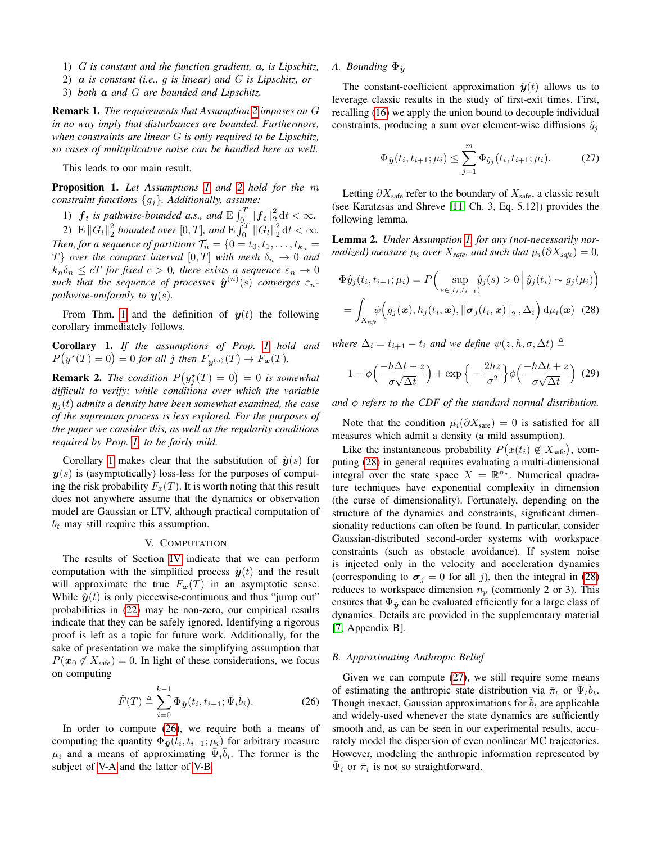- 1) G *is constant and the function gradient,* a*, is Lipschitz,*
- 2) a *is constant (i.e.,* g *is linear) and* G *is Lipschitz, or*
- 3) *both* a *and* G *are bounded and Lipschitz.*

Remark 1. *The requirements that Assumption [2](#page-4-2) imposes on* G *in no way imply that disturbances are bounded. Furthermore, when constraints are linear* G *is only required to be Lipschitz, so cases of multiplicative noise can be handled here as well.*

This leads to our main result.

<span id="page-5-2"></span>Proposition 1. *Let Assumptions [1](#page-4-1) and [2](#page-4-2) hold for the* m *constraint functions* {gj}*. Additionally, assume:*

1)  $\boldsymbol{f}_t$  is pathwise-bounded a.s., and  $\mathrm{E} \int_{0}^T \|\boldsymbol{f}_t\|_2^2 dt < \infty$ .

2)  $\mathbb{E} \|G_t\|_2^2$  bounded over  $[0, T]$ , and  $\mathbb{E} \int_0^T \|G_t\|_2^2 dt < \infty$ . *Then, for a sequence of partitions*  $\mathcal{T}_n = \{0 = t_0, t_1, \ldots, t_{k_n}\}$ T} *over the compact interval*  $[0, T]$  *with mesh*  $\delta_n \to 0$  *and*  $k_n \delta_n \leq cT$  *for fixed*  $c > 0$ *, there exists a sequence*  $\varepsilon_n \to 0$ such that the sequence of processes  $\hat{\boldsymbol{y}}^{(n)}(s)$  converges  $\varepsilon_n$ *pathwise-uniformly to*  $y(s)$ *.* 

From Thm. [1](#page-4-3) and the definition of  $y(t)$  the following corollary immediately follows.

<span id="page-5-3"></span>Corollary 1. *If the assumptions of Prop. [1](#page-5-2) hold and*  $P(y^*(T) = 0) = 0$  for all j then  $F_{\hat{y}^{(n)}}(T) \to F_x(T)$ .

**Remark 2.** The condition  $P(y_j^*(T) = 0) = 0$  is somewhat *difficult to verify; while conditions over which the variable*  $y_j(t)$  *admits a density have been somewhat examined, the case of the supremum process is less explored. For the purposes of the paper we consider this, as well as the regularity conditions required by Prop. [1,](#page-5-2) to be fairly mild.*

Corollary [1](#page-5-3) makes clear that the substitution of  $\hat{y}(s)$  for  $y(s)$  is (asymptotically) loss-less for the purposes of computing the risk probability  $F_x(T)$ . It is worth noting that this result does not anywhere assume that the dynamics or observation model are Gaussian or LTV, although practical computation of  $b_t$  may still require this assumption.

#### V. COMPUTATION

<span id="page-5-0"></span>The results of Section [IV](#page-4-0) indicate that we can perform computation with the simplified process  $\hat{y}(t)$  and the result will approximate the true  $F_x(T)$  in an asymptotic sense. While  $\hat{y}(t)$  is only piecewise-continuous and thus "jump out" probabilities in [\(22\)](#page-3-9) may be non-zero, our empirical results indicate that they can be safely ignored. Identifying a rigorous proof is left as a topic for future work. Additionally, for the sake of presentation we make the simplifying assumption that  $P(\mathbf{x}_0 \notin X_{\text{safe}}) = 0$ . In light of these considerations, we focus on computing

<span id="page-5-4"></span>
$$
\hat{F}(T) \triangleq \sum_{i=0}^{k-1} \Phi_{\hat{y}}(t_i, t_{i+1}; \bar{\Psi}_i \bar{b}_i).
$$
 (26)

In order to compute [\(26\)](#page-5-4), we require both a means of computing the quantity  $\Phi_{\hat{y}}(t_i, t_{i+1}; \mu_i)$  for arbitrary measure  $\mu_i$  and a means of approximating  $\overline{\Psi}_i \overline{\delta}_i$ . The former is the subject of [V-A](#page-5-5) and the latter of [V-B.](#page-5-1)

# <span id="page-5-5"></span>*A. Bounding*  $\Phi_{\hat{\mathbf{u}}}$

The constant-coefficient approximation  $\hat{y}(t)$  allows us to leverage classic results in the study of first-exit times. First, recalling [\(16\)](#page-3-5) we apply the union bound to decouple individual constraints, producing a sum over element-wise diffusions  $\hat{y}_i$ 

<span id="page-5-7"></span>
$$
\Phi_{\hat{\bm{y}}}(t_i, t_{i+1}; \mu_i) \le \sum_{j=1}^m \Phi_{\hat{y}_j}(t_i, t_{i+1}; \mu_i). \tag{27}
$$

Letting  $\partial X_{\text{safe}}$  refer to the boundary of  $X_{\text{safe}}$ , a classic result (see Karatzsas and Shreve [\[11,](#page-8-22) Ch. 3, Eq. 5.12]) provides the following lemma.

Lemma 2. *Under Assumption [1,](#page-4-1) for any (not-necessarily normalized)* measure  $\mu_i$  *over*  $X_{\text{safe}}$ *, and such that*  $\mu_i(\partial X_{\text{safe}}) = 0$ *,* 

<span id="page-5-6"></span>
$$
\Phi\hat{y}_j(t_i, t_{i+1}; \mu_i) = P\Big(\sup_{s \in [t_i, t_{i+1})} \hat{y}_j(s) > 0 \Big| \hat{y}_j(t_i) \sim g_j(\mu_i) \Big)
$$
\n
$$
= \int_{X_{\text{safe}}} \psi\Big(g_j(\boldsymbol{x}), h_j(t_i, \boldsymbol{x}), \|\boldsymbol{\sigma}_j(t_i, \boldsymbol{x})\|_2, \Delta_i\Big) \, \mathrm{d}\mu_i(\boldsymbol{x}) \tag{28}
$$

*where*  $\Delta_i = t_{i+1} - t_i$  *and we define*  $\psi(z, h, \sigma, \Delta t) \triangleq$ 

$$
1 - \phi\left(\frac{-h\Delta t - z}{\sigma\sqrt{\Delta t}}\right) + \exp\left\{-\frac{2hz}{\sigma^2}\right\}\phi\left(\frac{-h\Delta t + z}{\sigma\sqrt{\Delta t}}\right) \tag{29}
$$

*and*  $\phi$  *refers to the CDF of the standard normal distribution.* 

Note that the condition  $\mu_i(\partial X_{\text{safe}}) = 0$  is satisfied for all measures which admit a density (a mild assumption).

Like the instantaneous probability  $P(x(t_i) \notin X_{\text{safe}})$ , computing [\(28\)](#page-5-6) in general requires evaluating a multi-dimensional integral over the state space  $X = \mathbb{R}^{n_x}$ . Numerical quadrature techniques have exponential complexity in dimension (the curse of dimensionality). Fortunately, depending on the structure of the dynamics and constraints, significant dimensionality reductions can often be found. In particular, consider Gaussian-distributed second-order systems with workspace constraints (such as obstacle avoidance). If system noise is injected only in the velocity and acceleration dynamics (corresponding to  $\sigma_j = 0$  for all j), then the integral in [\(28\)](#page-5-6) reduces to workspace dimension  $n_p$  (commonly 2 or 3). This ensures that  $\Phi_{\hat{y}}$  can be evaluated efficiently for a large class of dynamics. Details are provided in the supplementary material [\[7,](#page-8-24) Appendix B].

## <span id="page-5-1"></span>*B. Approximating Anthropic Belief*

Given we can compute [\(27\)](#page-5-7), we still require some means of estimating the anthropic state distribution via  $\bar{\pi}_t$  or  $\bar{\Psi}_t \bar{b}_t$ . Though inexact, Gaussian approximations for  $\bar{b}_i$  are applicable and widely-used whenever the state dynamics are sufficiently smooth and, as can be seen in our experimental results, accurately model the dispersion of even nonlinear MC trajectories. However, modeling the anthropic information represented by  $\bar{\Psi}_i$  or  $\bar{\pi}_i$  is not so straightforward.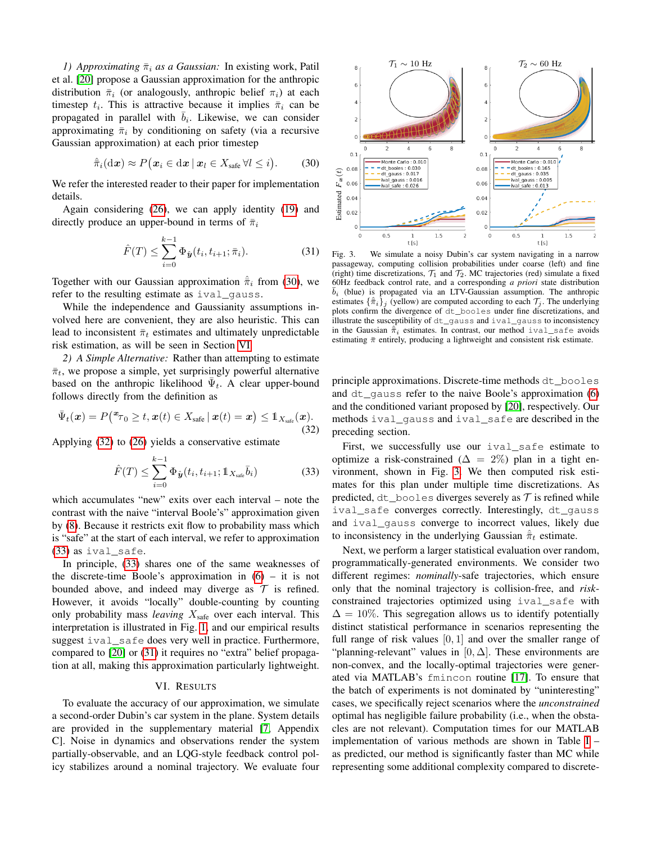*1)* Approximating  $\bar{\pi}_i$  as a Gaussian: In existing work, Patil et al. [\[20\]](#page-8-5) propose a Gaussian approximation for the anthropic distribution  $\bar{\pi}_i$  (or analogously, anthropic belief  $\pi_i$ ) at each timestep  $t_i$ . This is attractive because it implies  $\bar{\pi}_i$  can be propagated in parallel with  $\bar{b}_i$ . Likewise, we can consider approximating  $\bar{\pi}_i$  by conditioning on safety (via a recursive Gaussian approximation) at each prior timestep

<span id="page-6-1"></span>
$$
\hat{\pi}_i(\mathrm{d}\boldsymbol{x}) \approx P(\boldsymbol{x}_i \in \mathrm{d}\boldsymbol{x} \,|\, \boldsymbol{x}_l \in X_{\text{safe}} \,\forall l \leq i). \qquad (30)
$$

We refer the interested reader to their paper for implementation details.

Again considering [\(26\)](#page-5-4), we can apply identity [\(19\)](#page-3-8) and directly produce an upper-bound in terms of  $\bar{\pi}_i$ 

<span id="page-6-4"></span>
$$
\hat{F}(T) \le \sum_{i=0}^{k-1} \Phi_{\hat{y}}(t_i, t_{i+1}; \bar{\pi}_i).
$$
 (31)

Together with our Gaussian approximation  $\hat{\pi}_i$  from [\(30\)](#page-6-1), we refer to the resulting estimate as ival qauss.

While the independence and Gaussianity assumptions involved here are convenient, they are also heuristic. This can lead to inconsistent  $\bar{\pi}_t$  estimates and ultimately unpredictable risk estimation, as will be seen in Section [VI.](#page-6-0)

*2) A Simple Alternative:* Rather than attempting to estimate  $\bar{\pi}_t$ , we propose a simple, yet surprisingly powerful alternative based on the anthropic likelihood  $\bar{\Psi}_t$ . A clear upper-bound follows directly from the definition as

<span id="page-6-2"></span>
$$
\bar{\Psi}_t(\boldsymbol{x}) = P\big(\boldsymbol{x}_{\mathcal{T}_0} \geq t, \boldsymbol{x}(t) \in X_{\text{safe}} \,|\, \boldsymbol{x}(t) = \boldsymbol{x}\big) \leq \mathbb{1}_{X_{\text{safe}}}(\boldsymbol{x}).\tag{32}
$$

Applying [\(32\)](#page-6-2) to [\(26\)](#page-5-4) yields a conservative estimate

<span id="page-6-3"></span>
$$
\hat{F}(T) \le \sum_{i=0}^{k-1} \Phi_{\hat{\bm{y}}}(t_i, t_{i+1}; 1\!\!1_{X_{\text{safe}}} \bar{b}_i)
$$
\n(33)

which accumulates "new" exits over each interval – note the contrast with the naive "interval Boole's" approximation given by [\(8\)](#page-2-3). Because it restricts exit flow to probability mass which is "safe" at the start of each interval, we refer to approximation [\(33\)](#page-6-3) as ival\_safe.

In principle, [\(33\)](#page-6-3) shares one of the same weaknesses of the discrete-time Boole's approximation in  $(6)$  – it is not bounded above, and indeed may diverge as  $\mathcal T$  is refined. However, it avoids "locally" double-counting by counting only probability mass *leaving*  $X_{\text{safe}}$  over each interval. This interpretation is illustrated in Fig. [1,](#page-0-2) and our empirical results suggest ival safe does very well in practice. Furthermore, compared to [\[20\]](#page-8-5) or [\(31\)](#page-6-4) it requires no "extra" belief propagation at all, making this approximation particularly lightweight.

# VI. RESULTS

<span id="page-6-0"></span>To evaluate the accuracy of our approximation, we simulate a second-order Dubin's car system in the plane. System details are provided in the supplementary material [\[7,](#page-8-24) Appendix C]. Noise in dynamics and observations render the system partially-observable, and an LQG-style feedback control policy stabilizes around a nominal trajectory. We evaluate four



<span id="page-6-5"></span>Fig. 3. We simulate a noisy Dubin's car system navigating in a narrow passageway, computing collision probabilities under coarse (left) and fine (right) time discretizations,  $\mathcal{T}_1$  and  $\mathcal{T}_2$ . MC trajectories (red) simulate a fixed 60Hz feedback control rate, and a corresponding *a priori* state distribution  $\bar{b}_i$  (blue) is propagated via an LTV-Gaussian assumption. The anthropic estimates  $\{\hat{\pi}_i\}_j$  (yellow) are computed according to each  $\mathcal{T}_j$ . The underlying plots confirm the divergence of dt\_booles under fine discretizations, and illustrate the susceptibility of dt\_gauss and ival\_gauss to inconsistency in the Gaussian  $\hat{\pi}_i$  estimates. In contrast, our method ival safe avoids estimating  $\bar{\pi}$  entirely, producing a lightweight and consistent risk estimate.

principle approximations. Discrete-time methods dt\_booles and  $dt$  gauss refer to the naive Boole's approximation  $(6)$ and the conditioned variant proposed by [\[20\]](#page-8-5), respectively. Our methods ival\_gauss and ival\_safe are described in the preceding section.

First, we successfully use our ival\_safe estimate to optimize a risk-constrained ( $\Delta = 2\%$ ) plan in a tight environment, shown in Fig. [3.](#page-6-5) We then computed risk estimates for this plan under multiple time discretizations. As predicted,  $dt_{\text{boolean}}$  booles diverges severely as  $\tau$  is refined while ival\_safe converges correctly. Interestingly, dt\_gauss and ival\_gauss converge to incorrect values, likely due to inconsistency in the underlying Gaussian  $\hat{\pi}_t$  estimate.

Next, we perform a larger statistical evaluation over random, programmatically-generated environments. We consider two different regimes: *nominally*-safe trajectories, which ensure only that the nominal trajectory is collision-free, and *risk*constrained trajectories optimized using ival\_safe with  $\Delta = 10\%$ . This segregation allows us to identify potentially distinct statistical performance in scenarios representing the full range of risk values  $[0, 1]$  and over the smaller range of "planning-relevant" values in [0,  $\Delta$ ]. These environments are non-convex, and the locally-optimal trajectories were generated via MATLAB's fmincon routine [\[17\]](#page-8-25). To ensure that the batch of experiments is not dominated by "uninteresting" cases, we specifically reject scenarios where the *unconstrained* optimal has negligible failure probability (i.e., when the obstacles are not relevant). Computation times for our MATLAB implementation of various methods are shown in Table [I](#page-7-0) – as predicted, our method is significantly faster than MC while representing some additional complexity compared to discrete-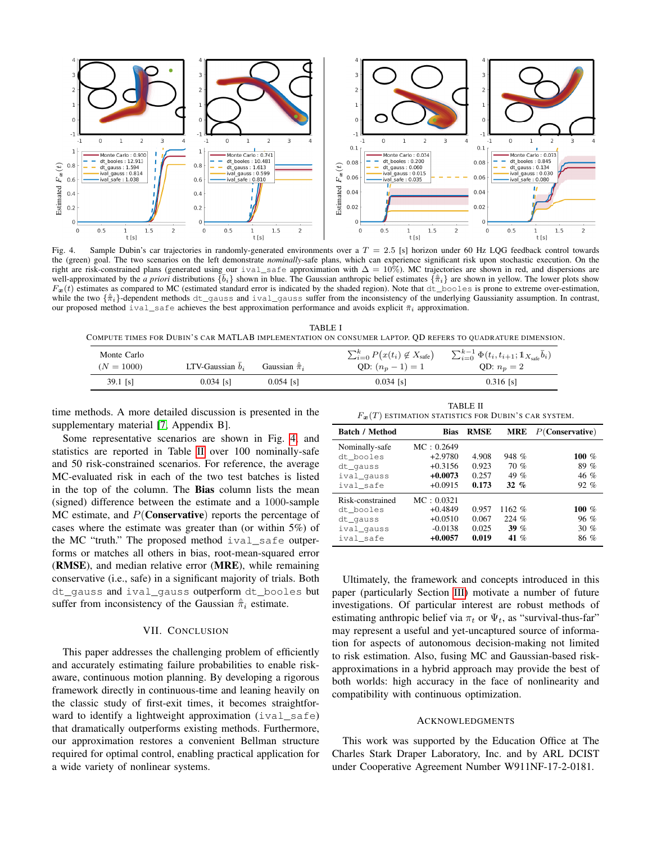

<span id="page-7-1"></span>Fig. 4. Sample Dubin's car trajectories in randomly-generated environments over a  $T = 2.5$  [s] horizon under 60 Hz LQG feedback control towards the (green) goal. The two scenarios on the left demonstrate *nominally*-safe plans, which can experience significant risk upon stochastic execution. On the right are risk-constrained plans (generated using our ival\_safe approximation with  $\Delta = 10\%$ ). MC trajectories are shown in red, and dispersions are well-approximated by the *a priori* distributions  $\{\bar{b}_i\}$  shown in blue. The Gaussian anthropic belief estimates  $\{\hat{\pi}_i\}$  are shown in yellow. The lower plots show  $F_x(t)$  estimates as compared to MC (estimated standard error is indicated by the shaded region). Note that dt\_booles is prone to extreme over-estimation, while the two  $\{\hat{\pi}_i\}$ -dependent methods dt\_gauss and ival\_gauss suffer from the inconsistency of the underlying Gaussianity assumption. In contrast, our proposed method ival\_safe achieves the best approximation performance and avoids explicit  $\bar{\pi}_i$  approximation.

<span id="page-7-0"></span>TABLE I COMPUTE TIMES FOR DUBIN'S CAR MATLAB IMPLEMENTATION ON CONSUMER LAPTOP. QD REFERS TO QUADRATURE DIMENSION.

| Monte Carlo<br>$(N = 1000)$ | LTV-Gaussian $\bar{b}_i$ | Gaussian $\hat{\pi}_i$ | $\sum_{i=0}^{k} P(x(t_i) \notin X_{\text{safe}})$<br>QD: $(n_p - 1) = 1$ | $\sum_{i=0}^{k-1} \Phi(t_i, t_{i+1}; 1\!\!1_{X_{\text{safe}}} \bar{b}_i)$<br>QD: $n_p=2$ |
|-----------------------------|--------------------------|------------------------|--------------------------------------------------------------------------|------------------------------------------------------------------------------------------|
| 39.1 [s]                    | $0.034$ [s]              | $0.054$ [s]            | $0.034$ [s]                                                              | $0.316$ [s]                                                                              |

time methods. A more detailed discussion is presented in the supplementary material [\[7,](#page-8-24) Appendix B].

Some representative scenarios are shown in Fig. [4,](#page-7-1) and statistics are reported in Table [II](#page-7-2) over 100 nominally-safe and 50 risk-constrained scenarios. For reference, the average MC-evaluated risk in each of the two test batches is listed in the top of the column. The Bias column lists the mean (signed) difference between the estimate and a 1000-sample MC estimate, and  $P(\text{Conservative})$  reports the percentage of cases where the estimate was greater than (or within 5%) of the MC "truth." The proposed method ival\_safe outperforms or matches all others in bias, root-mean-squared error (RMSE), and median relative error (MRE), while remaining conservative (i.e., safe) in a significant majority of trials. Both dt\_gauss and ival\_gauss outperform dt\_booles but suffer from inconsistency of the Gaussian  $\hat{\pi}_i$  estimate.

## VII. CONCLUSION

This paper addresses the challenging problem of efficiently and accurately estimating failure probabilities to enable riskaware, continuous motion planning. By developing a rigorous framework directly in continuous-time and leaning heavily on the classic study of first-exit times, it becomes straightforward to identify a lightweight approximation  $(i \text{val state})$ that dramatically outperforms existing methods. Furthermore, our approximation restores a convenient Bellman structure required for optimal control, enabling practical application for a wide variety of nonlinear systems.

TABLE II  $F_{\boldsymbol{x}}(T)$  estimation statistics for Dubin's car system.

<span id="page-7-2"></span>

| <b>Batch / Method</b> | <b>Bias</b> | <b>RMSE</b> | <b>MRE</b> | $P(\text{Conservative})$ |
|-----------------------|-------------|-------------|------------|--------------------------|
| Nominally-safe        | MC: 0.2649  |             |            |                          |
| dt booles             | $+2.9780$   | 4.908       | 948 %      | $100\%$                  |
| dt_qauss              | $+0.3156$   | 0.923       | 70%        | 89 %                     |
| ival_qauss            | $+0.0073$   | 0.257       | 49 %       | 46 %                     |
| ival safe             | $+0.0915$   | 0.173       | $32\%$     | $92\%$                   |
| Risk-constrained      | MC: 0.0321  |             |            |                          |
| dt booles             | $+0.4849$   | 0.957       | 1162 %     | $100\%$                  |
| dt_qauss              | $+0.0510$   | 0.067       | 224 %      | $96 \%$                  |
| ival_qauss            | $-0.0138$   | 0.025       | $39\%$     | $30 \%$                  |
| ival safe             | $+0.0057$   | 0.019       | 41 $%$     | 86 %                     |

Ultimately, the framework and concepts introduced in this paper (particularly Section [III\)](#page-2-0) motivate a number of future investigations. Of particular interest are robust methods of estimating anthropic belief via  $\pi_t$  or  $\Psi_t$ , as "survival-thus-far" may represent a useful and yet-uncaptured source of information for aspects of autonomous decision-making not limited to risk estimation. Also, fusing MC and Gaussian-based riskapproximations in a hybrid approach may provide the best of both worlds: high accuracy in the face of nonlinearity and compatibility with continuous optimization.

#### ACKNOWLEDGMENTS

This work was supported by the Education Office at The Charles Stark Draper Laboratory, Inc. and by ARL DCIST under Cooperative Agreement Number W911NF-17-2-0181.